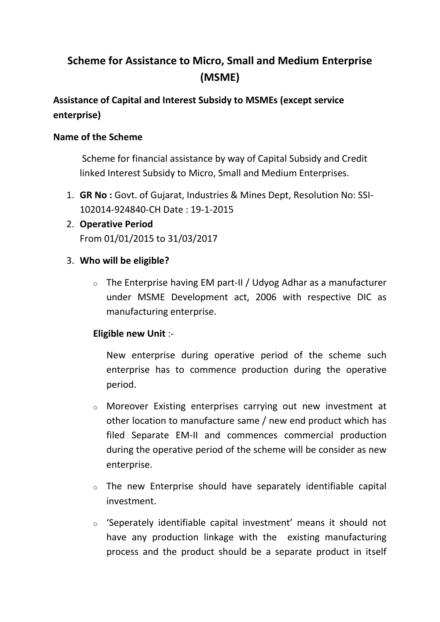# **Scheme for Assistance to Micro, Small and Medium Enterprise (MSME)**

# **Assistance of Capital and Interest Subsidy to MSMEs (except service enterprise)**

### **Name of the Scheme**

Scheme for financial assistance by way of Capital Subsidy and Credit linked Interest Subsidy to Micro, Small and Medium Enterprises.

- 1. **GR No :** Govt. of Gujarat, Industries & Mines Dept, Resolution No: SSI-102014-924840-CH Date : 19-1-2015
- 2. **Operative Period** From 01/01/2015 to 31/03/2017

# 3. **Who will be eligible?**

 $\circ$  The Enterprise having EM part-II / Udyog Adhar as a manufacturer under MSME Development act, 2006 with respective DIC as manufacturing enterprise.

# **Eligible new Unit** :-

New enterprise during operative period of the scheme such enterprise has to commence production during the operative period.

- o Moreover Existing enterprises carrying out new investment at other location to manufacture same / new end product which has filed Separate EM-II and commences commercial production during the operative period of the scheme will be consider as new enterprise.
- o The new Enterprise should have separately identifiable capital investment.
- o 'Seperately identifiable capital investment' means it should not have any production linkage with the existing manufacturing process and the product should be a separate product in itself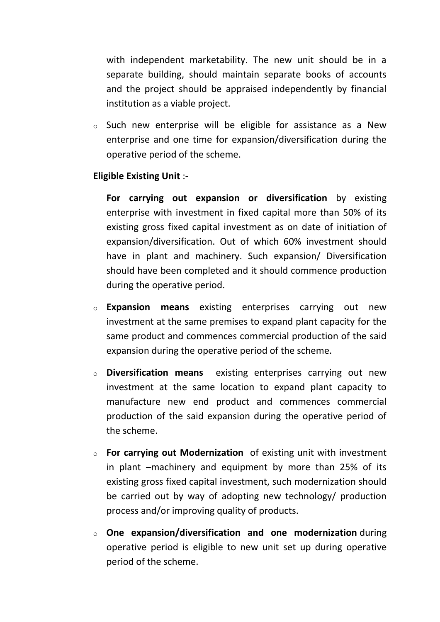with independent marketability. The new unit should be in a separate building, should maintain separate books of accounts and the project should be appraised independently by financial institution as a viable project.

o Such new enterprise will be eligible for assistance as a New enterprise and one time for expansion/diversification during the operative period of the scheme.

#### **Eligible Existing Unit** :-

**For carrying out expansion or diversification** by existing enterprise with investment in fixed capital more than 50% of its existing gross fixed capital investment as on date of initiation of expansion/diversification. Out of which 60% investment should have in plant and machinery. Such expansion/ Diversification should have been completed and it should commence production during the operative period.

- o **Expansion means** existing enterprises carrying out new investment at the same premises to expand plant capacity for the same product and commences commercial production of the said expansion during the operative period of the scheme.
- o **Diversification means** existing enterprises carrying out new investment at the same location to expand plant capacity to manufacture new end product and commences commercial production of the said expansion during the operative period of the scheme.
- o **For carrying out Modernization** of existing unit with investment in plant –machinery and equipment by more than 25% of its existing gross fixed capital investment, such modernization should be carried out by way of adopting new technology/ production process and/or improving quality of products.
- o **One expansion/diversification and one modernization** during operative period is eligible to new unit set up during operative period of the scheme.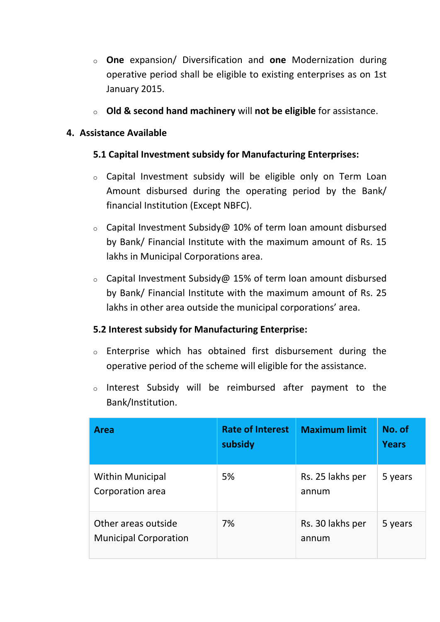- o **One** expansion/ Diversification and **one** Modernization during operative period shall be eligible to existing enterprises as on 1st January 2015.
- o **Old & second hand machinery** will **not be eligible** for assistance.

### **4. Assistance Available**

# **5.1 Capital Investment subsidy for Manufacturing Enterprises:**

- o Capital Investment subsidy will be eligible only on Term Loan Amount disbursed during the operating period by the Bank/ financial Institution (Except NBFC).
- $\circ$  Capital Investment Subsidy@ 10% of term loan amount disbursed by Bank/ Financial Institute with the maximum amount of Rs. 15 lakhs in Municipal Corporations area.
- o Capital Investment Subsidy@ 15% of term loan amount disbursed by Bank/ Financial Institute with the maximum amount of Rs. 25 lakhs in other area outside the municipal corporations' area.

# **5.2 Interest subsidy for Manufacturing Enterprise:**

- o Enterprise which has obtained first disbursement during the operative period of the scheme will eligible for the assistance.
- o Interest Subsidy will be reimbursed after payment to the Bank/Institution.

| <b>Area</b>                                         | <b>Rate of Interest</b><br>subsidy | <b>Maximum limit</b>      | No. of<br><b>Years</b> |
|-----------------------------------------------------|------------------------------------|---------------------------|------------------------|
| <b>Within Municipal</b><br>Corporation area         | 5%                                 | Rs. 25 lakhs per<br>annum | 5 years                |
| Other areas outside<br><b>Municipal Corporation</b> | 7%                                 | Rs. 30 lakhs per<br>annum | 5 years                |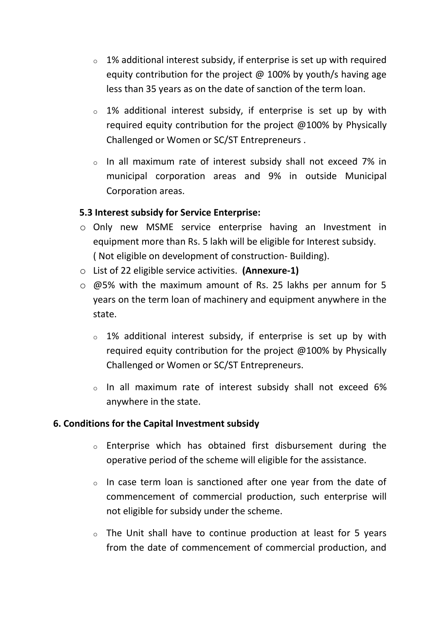- $\circ$  1% additional interest subsidy, if enterprise is set up with required equity contribution for the project  $\omega$  100% by youth/s having age less than 35 years as on the date of sanction of the term loan.
- $\circ$  1% additional interest subsidy, if enterprise is set up by with required equity contribution for the project @100% by Physically Challenged or Women or SC/ST Entrepreneurs .
- o In all maximum rate of interest subsidy shall not exceed 7% in municipal corporation areas and 9% in outside Municipal Corporation areas.

### **5.3 Interest subsidy for Service Enterprise:**

- o Only new MSME service enterprise having an Investment in equipment more than Rs. 5 lakh will be eligible for Interest subsidy. ( Not eligible on development of construction- Building).
- o List of 22 eligible service activities. **(Annexure-1)**
- o @5% with the maximum amount of Rs. 25 lakhs per annum for 5 years on the term loan of machinery and equipment anywhere in the state.
	- $\circ$  1% additional interest subsidy, if enterprise is set up by with required equity contribution for the project @100% by Physically Challenged or Women or SC/ST Entrepreneurs.
	- o In all maximum rate of interest subsidy shall not exceed 6% anywhere in the state.

# **6. Conditions for the Capital Investment subsidy**

- o Enterprise which has obtained first disbursement during the operative period of the scheme will eligible for the assistance.
- o In case term loan is sanctioned after one year from the date of commencement of commercial production, such enterprise will not eligible for subsidy under the scheme.
- o The Unit shall have to continue production at least for 5 years from the date of commencement of commercial production, and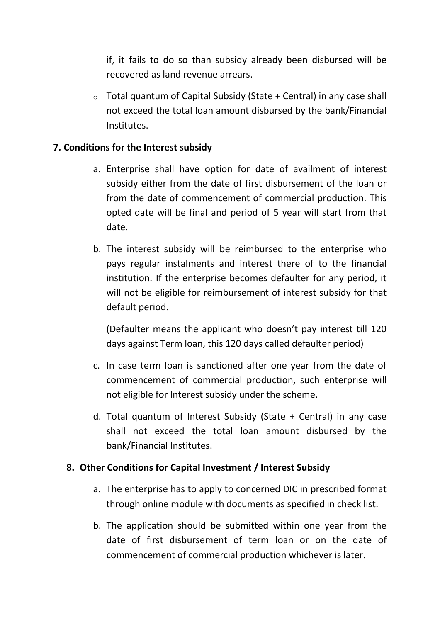if, it fails to do so than subsidy already been disbursed will be recovered as land revenue arrears.

 $\circ$  Total quantum of Capital Subsidy (State + Central) in any case shall not exceed the total loan amount disbursed by the bank/Financial Institutes.

#### **7. Conditions for the Interest subsidy**

- a. Enterprise shall have option for date of availment of interest subsidy either from the date of first disbursement of the loan or from the date of commencement of commercial production. This opted date will be final and period of 5 year will start from that date.
- b. The interest subsidy will be reimbursed to the enterprise who pays regular instalments and interest there of to the financial institution. If the enterprise becomes defaulter for any period, it will not be eligible for reimbursement of interest subsidy for that default period.

(Defaulter means the applicant who doesn't pay interest till 120 days against Term loan, this 120 days called defaulter period)

- c. In case term loan is sanctioned after one year from the date of commencement of commercial production, such enterprise will not eligible for Interest subsidy under the scheme.
- d. Total quantum of Interest Subsidy (State + Central) in any case shall not exceed the total loan amount disbursed by the bank/Financial Institutes.

#### **8. Other Conditions for Capital Investment / Interest Subsidy**

- a. The enterprise has to apply to concerned DIC in prescribed format through online module with documents as specified in check list.
- b. The application should be submitted within one year from the date of first disbursement of term loan or on the date of commencement of commercial production whichever is later.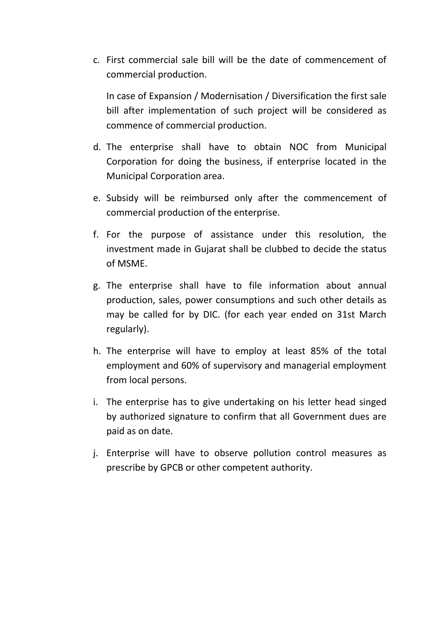c. First commercial sale bill will be the date of commencement of commercial production.

In case of Expansion / Modernisation / Diversification the first sale bill after implementation of such project will be considered as commence of commercial production.

- d. The enterprise shall have to obtain NOC from Municipal Corporation for doing the business, if enterprise located in the Municipal Corporation area.
- e. Subsidy will be reimbursed only after the commencement of commercial production of the enterprise.
- f. For the purpose of assistance under this resolution, the investment made in Gujarat shall be clubbed to decide the status of MSME.
- g. The enterprise shall have to file information about annual production, sales, power consumptions and such other details as may be called for by DIC. (for each year ended on 31st March regularly).
- h. The enterprise will have to employ at least 85% of the total employment and 60% of supervisory and managerial employment from local persons.
- i. The enterprise has to give undertaking on his letter head singed by authorized signature to confirm that all Government dues are paid as on date.
- j. Enterprise will have to observe pollution control measures as prescribe by GPCB or other competent authority.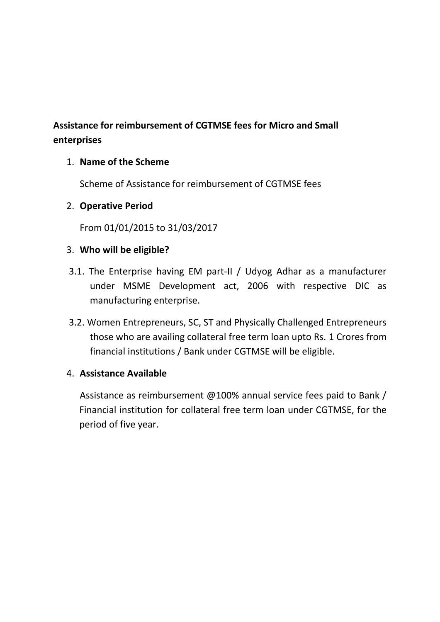# **Assistance for reimbursement of CGTMSE fees for Micro and Small enterprises**

# 1. **Name of the Scheme**

Scheme of Assistance for reimbursement of CGTMSE fees

### 2. **Operative Period**

From 01/01/2015 to 31/03/2017

### 3. **Who will be eligible?**

- 3.1. The Enterprise having EM part-II / Udyog Adhar as a manufacturer under MSME Development act, 2006 with respective DIC as manufacturing enterprise.
- 3.2. Women Entrepreneurs, SC, ST and Physically Challenged Entrepreneurs those who are availing collateral free term loan upto Rs. 1 Crores from financial institutions / Bank under CGTMSE will be eligible.

#### 4. **Assistance Available**

Assistance as reimbursement @100% annual service fees paid to Bank / Financial institution for collateral free term loan under CGTMSE, for the period of five year.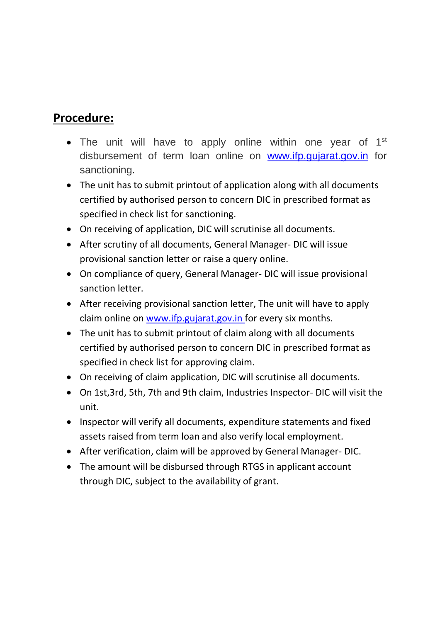# **Procedure:**

- The unit will have to apply online within one year of  $1<sup>st</sup>$ disbursement of term loan online on [www.ifp.gujarat.gov.in](http://www.ifp.gujarat.gov.in/) for sanctioning.
- The unit has to submit printout of application along with all documents certified by authorised person to concern DIC in prescribed format as specified in check list for sanctioning.
- On receiving of application, DIC will scrutinise all documents.
- After scrutiny of all documents, General Manager- DIC will issue provisional sanction letter or raise a query online.
- On compliance of query, General Manager- DIC will issue provisional sanction letter.
- After receiving provisional sanction letter, The unit will have to apply claim online on [www.ifp.gujarat.gov.in](http://www.ifp.gujarat.gov.in/) for every six months.
- The unit has to submit printout of claim along with all documents certified by authorised person to concern DIC in prescribed format as specified in check list for approving claim.
- On receiving of claim application, DIC will scrutinise all documents.
- On 1st,3rd, 5th, 7th and 9th claim, Industries Inspector- DIC will visit the unit.
- Inspector will verify all documents, expenditure statements and fixed assets raised from term loan and also verify local employment.
- After verification, claim will be approved by General Manager- DIC.
- The amount will be disbursed through RTGS in applicant account through DIC, subject to the availability of grant.